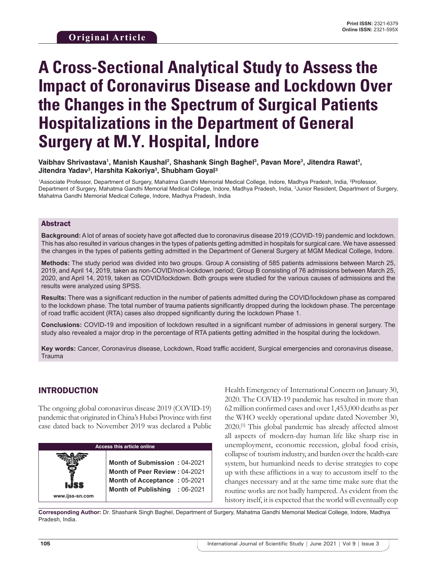# **A Cross-Sectional Analytical Study to Assess the Impact of Coronavirus Disease and Lockdown Over the Changes in the Spectrum of Surgical Patients Hospitalizations in the Department of General Surgery at M.Y. Hospital, Indore**

Vaibhav Shrivastava', Manish Kaushal<sup>2</sup>, Shashank Singh Baghel<sup>3</sup>, Pavan More<sup>3</sup>, Jitendra Rawat<sup>3</sup>, **Jitendra Yadav3 , Harshita Kakoriya3 , Shubham Goyal³**

1 Associate Professor, Department of Surgery, Mahatma Gandhi Memorial Medical College, Indore, Madhya Pradesh, India, 2 Professor, Department of Surgery, Mahatma Gandhi Memorial Medical College, Indore, Madhya Pradesh, India, 3 Junior Resident, Department of Surgery, Mahatma Gandhi Memorial Medical College, Indore, Madhya Pradesh, India

### Abstract

**Background:** Alot of areas of society have got affected due to coronavirus disease 2019 (COVID-19) pandemic and lockdown. This has also resulted in various changes in the types of patients getting admitted in hospitals for surgical care. We have assessed the changes in the types of patients getting admitted in the Department of General Surgery at MGM Medical College, Indore.

**Methods:** The study period was divided into two groups. Group A consisting of 585 patients admissions between March 25, 2019, and April 14, 2019, taken as non-COVID/non-lockdown period; Group B consisting of 76 admissions between March 25, 2020, and April 14, 2019, taken as COVID/lockdown. Both groups were studied for the various causes of admissions and the results were analyzed using SPSS.

**Results:** There was a significant reduction in the number of patients admitted during the COVID/lockdown phase as compared to the lockdown phase. The total number of trauma patients significantly dropped during the lockdown phase. The percentage of road traffic accident (RTA) cases also dropped significantly during the lockdown Phase 1.

**Conclusions:** COVID-19 and imposition of lockdown resulted in a significant number of admissions in general surgery. The study also revealed a major drop in the percentage of RTA patients getting admitted in the hospital during the lockdown.

**Key words:** Cancer, Coronavirus disease, Lockdown, Road traffic accident, Surgical emergencies and coronavirus disease, **Trauma** 

# INTRODUCTION

The ongoing global coronavirus disease 2019 (COVID-19) pandemic that originated in China's Hubei Province with first case dated back to November 2019 was declared a Public

| <b>Access this article online</b> |                                                                                                                                              |  |  |  |
|-----------------------------------|----------------------------------------------------------------------------------------------------------------------------------------------|--|--|--|
| www.ijss-sn.com                   | <b>Month of Submission: 04-2021</b><br><b>Month of Peer Review: 04-2021</b><br>Month of Acceptance: 05-2021<br>Month of Publishing : 06-2021 |  |  |  |

Health Emergency of International Concern on January 30, 2020. The COVID-19 pandemic has resulted in more than 62 million confirmed cases and over 1,453,000 deaths as per the WHO weekly operational update dated November 30, 2020.[1] This global pandemic has already affected almost all aspects of modern-day human life like sharp rise in unemployment, economic recession, global food crisis, collapse of tourism industry, and burden over the health-care system, but humankind needs to devise strategies to cope up with these afflictions in a way to accustom itself to the changes necessary and at the same time make sure that the routine works are not badly hampered. As evident from the history itself, it is expected that the world will eventually cop

**Corresponding Author:** Dr. Shashank Singh Baghel, Department of Surgery, Mahatma Gandhi Memorial Medical College, Indore, Madhya Pradesh, India.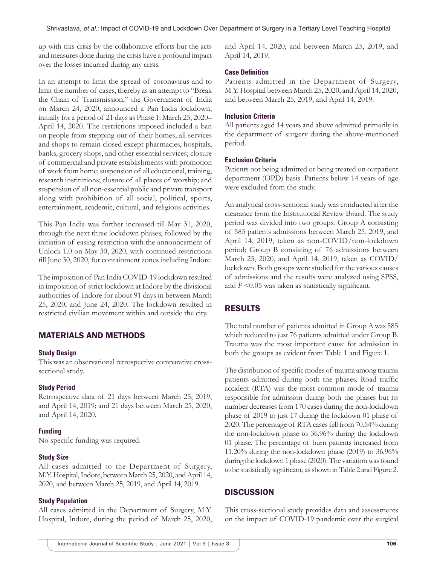up with this crisis by the collaborative efforts but the acts and measures done during the crisis have a profound impact over the losses incurred during any crisis.

In an attempt to limit the spread of coronavirus and to limit the number of cases, thereby as an attempt to "Break the Chain of Transmission," the Government of India on March 24, 2020, announced a Pan India lockdown, initially for a period of 21 days as Phase 1: March 25, 2020– April 14, 2020. The restrictions imposed included a ban on people from stepping out of their homes; all services and shops to remain closed except pharmacies, hospitals, banks, grocery shops, and other essential services; closure of commercial and private establishments with promotion of work from home; suspension of all educational, training, research institutions; closure of all places of worship; and suspension of all non-essential public and private transport along with prohibition of all social, political, sports, entertainment, academic, cultural, and religious activities.

This Pan India was further increased till May 31, 2020, through the next three lockdown phases, followed by the initiation of easing restriction with the announcement of Unlock 1.0 on May 30, 2020, with continued restrictions till June 30, 2020, for containment zones including Indore.

The imposition of Pan India COVID-19 lockdown resulted in imposition of strict lockdown at Indore by the divisional authorities of Indore for about 91 days in between March 25, 2020, and June 24, 2020. The lockdown resulted in restricted civilian movement within and outside the city.

# MATERIALS AND METHODS

#### **Study Design**

This was an observational retrospective comparative crosssectional study.

## **Study Period**

Retrospective data of 21 days between March 25, 2019, and April 14, 2019; and 21 days between March 25, 2020, and April 14, 2020.

#### **Funding**

No specific funding was required.

## **Study Size**

All cases admitted to the Department of Surgery, M.Y.Hospital, Indore, between March 25, 2020, and April 14, 2020, and between March 25, 2019, and April 14, 2019.

#### **Study Population**

All cases admitted in the Department of Surgery, M.Y. Hospital, Indore, during the period of March 25, 2020, and April 14, 2020, and between March 25, 2019, and April 14, 2019.

### **Case Definition**

Patients admitted in the Department of Surgery, M.Y. Hospital between March 25, 2020, and April 14, 2020, and between March 25, 2019, and April 14, 2019.

## **Inclusion Criteria**

All patients aged 14 years and above admitted primarily in the department of surgery during the above-mentioned period.

#### **Exclusion Criteria**

Patients not being admitted or being treated on outpatient department (OPD) basis. Patients below 14 years of age were excluded from the study.

An analytical cross-sectional study was conducted after the clearance from the Institutional Review Board. The study period was divided into two groups. Group A consisting of 585 patients admissions between March 25, 2019, and April 14, 2019, taken as non-COVID/non-lockdown period; Group B consisting of 76 admissions between March 25, 2020, and April 14, 2019, taken as COVID/ lockdown. Both groups were studied for the various causes of admissions and the results were analyzed using SPSS, and  $P \leq 0.05$  was taken as statistically significant.

# RESULTS

The total number of patients admitted in Group A was 585 which reduced to just 76 patients admitted under Group B. Trauma was the most important cause for admission in both the groups as evident from Table 1 and Figure 1.

The distribution of specific modes of trauma among trauma patients admitted during both the phases. Road traffic accident (RTA) was the most common mode of trauma responsible for admission during both the phases but its number decreases from 170 cases during the non-lockdown phase of 2019 to just 17 during the lockdown 01 phase of 2020. The percentage of RTA cases fell from 70.54% during the non-lockdown phase to 36.96% during the lockdown 01 phase. The percentage of burn patients increased from 11.20% during the non-lockdown phase (2019) to 36.96% during the lockdown 1 phase (2020). The variation was found to be statistically significant, as shown in Table 2 and Figure 2.

# **DISCUSSION**

This cross-sectional study provides data and assessments on the impact of COVID-19 pandemic over the surgical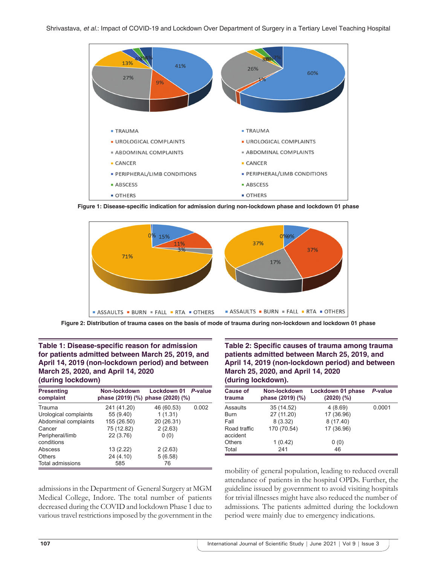

**Figure 1: Disease-specific indication for admission during non-lockdown phase and lockdown 01 phase**



Figure 2: Distribution of trauma cases on the basis of mode of trauma during non-lockdown and lockdown 01 phase

### **Table 1: Disease-specific reason for admission for patients admitted between March 25, 2019, and April 14, 2019 (non-lockdown period) and between March 25, 2020, and April 14, 2020 (during lockdown)**

| <b>Presenting</b><br>complaint | Non-lockdown<br>phase (2019) (%) phase (2020) (%) | Lockdown 01 P-value |       |
|--------------------------------|---------------------------------------------------|---------------------|-------|
| Trauma                         | 241 (41.20)                                       | 46 (60.53)          | 0.002 |
| Urological complaints          | 55 (9.40)                                         | 1(1.31)             |       |
| Abdominal complaints           | 155 (26.50)                                       | 20 (26.31)          |       |
| Cancer                         | 75 (12.82)                                        | 2(2.63)             |       |
| Peripheral/limb<br>conditions  | 22 (3.76)                                         | 0(0)                |       |
| Abscess                        | 13 (2.22)                                         | 2(2.63)             |       |
| Others                         | 24 (4.10)                                         | 5(6.58)             |       |
| Total admissions               | 585                                               | 76                  |       |

admissions in the Department of General Surgery at MGM Medical College, Indore. The total number of patients decreased during the COVID and lockdown Phase 1 due to various travel restrictions imposed by the government in the **Table 2: Specific causes of trauma among trauma patients admitted between March 25, 2019, and April 14, 2019 (non-lockdown period) and between March 25, 2020, and April 14, 2020 (during lockdown).**

| <b>Cause of</b><br>trauma | Non-lockdown<br>phase (2019) (%) | Lockdown 01 phase<br>$(2020)$ $(\%)$ | P-value |
|---------------------------|----------------------------------|--------------------------------------|---------|
| Assaults                  | 35 (14.52)                       | 4(8.69)                              | 0.0001  |
| Burn                      | 27 (11.20)                       | 17 (36.96)                           |         |
| Fall                      | 8(3.32)                          | 8 (17.40)                            |         |
| Road traffic<br>accident  | 170 (70.54)                      | 17 (36.96)                           |         |
| Others                    | 1(0.42)                          | 0(0)                                 |         |
| Total                     | 241                              | 46                                   |         |

mobility of general population, leading to reduced overall attendance of patients in the hospital OPDs. Further, the guideline issued by government to avoid visiting hospitals for trivial illnesses might have also reduced the number of admissions. The patients admitted during the lockdown period were mainly due to emergency indications.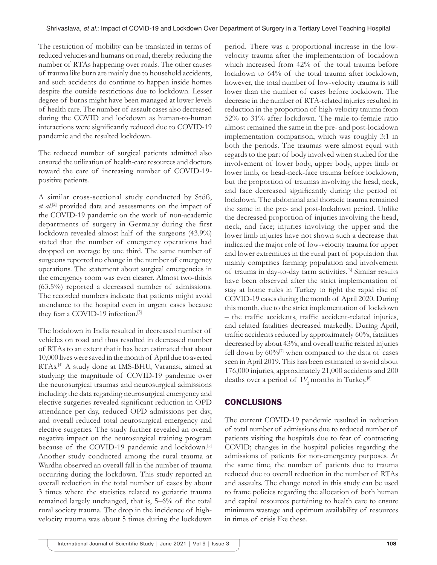The restriction of mobility can be translated in terms of reduced vehicles and humans on road, thereby reducing the number of RTAs happening over roads. The other causes of trauma like burn are mainly due to household accidents, and such accidents do continue to happen inside homes despite the outside restrictions due to lockdown. Lesser degree of burns might have been managed at lower levels of health care. The number of assault cases also decreased during the COVID and lockdown as human-to-human interactions were significantly reduced due to COVID-19 pandemic and the resulted lockdown.

The reduced number of surgical patients admitted also ensured the utilization of health-care resources and doctors toward the care of increasing number of COVID-19 positive patients.

A similar cross-sectional study conducted by Stöß, *et al*. [2] provided data and assessments on the impact of the COVID-19 pandemic on the work of non-academic departments of surgery in Germany during the first lockdown revealed almost half of the surgeons (43.9%) stated that the number of emergency operations had dropped on average by one third. The same number of surgeons reported no change in the number of emergency operations. The statement about surgical emergencies in the emergency room was even clearer. Almost two-thirds (63.5%) reported a decreased number of admissions. The recorded numbers indicate that patients might avoid attendance to the hospital even in urgent cases because they fear a COVID-19 infection.<sup>[3]</sup>

The lockdown in India resulted in decreased number of vehicles on road and thus resulted in decreased number of RTAs to an extent that it has been estimated that about 10,000 lives were saved in the month of April due to averted RTAs.[4] A study done at IMS-BHU, Varanasi, aimed at studying the magnitude of COVID-19 pandemic over the neurosurgical traumas and neurosurgical admissions including the data regarding neurosurgical emergency and elective surgeries revealed significant reduction in OPD attendance per day, reduced OPD admissions per day, and overall reduced total neurosurgical emergency and elective surgeries. The study further revealed an overall negative impact on the neurosurgical training program because of the COVID-19 pandemic and lockdown.<sup>[5]</sup> Another study conducted among the rural trauma at Wardha observed an overall fall in the number of trauma occurring during the lockdown. This study reported an overall reduction in the total number of cases by about 3 times where the statistics related to geriatric trauma remained largely unchanged, that is, 5–6% of the total rural society trauma. The drop in the incidence of highvelocity trauma was about 5 times during the lockdown

period. There was a proportional increase in the lowvelocity trauma after the implementation of lockdown which increased from 42% of the total trauma before lockdown to 64% of the total trauma after lockdown, however, the total number of low-velocity trauma is still lower than the number of cases before lockdown. The decrease in the number of RTA-related injuries resulted in reduction in the proportion of high-velocity trauma from 52% to 31% after lockdown. The male-to-female ratio almost remained the same in the pre- and post-lockdown implementation comparison, which was roughly 3:1 in both the periods. The traumas were almost equal with regards to the part of body involved when studied for the involvement of lower body, upper body, upper limb or lower limb, or head-neck-face trauma before lockdown, but the proportion of traumas involving the head, neck, and face decreased significantly during the period of lockdown. The abdominal and thoracic trauma remained the same in the pre- and post-lockdown period. Unlike the decreased proportion of injuries involving the head, neck, and face; injuries involving the upper and the lower limb injuries have not shown such a decrease that indicated the major role of low-velocity trauma for upper and lower extremities in the rural part of population that mainly comprises farming population and involvement of trauma in day-to-day farm activities.[6] Similar results have been observed after the strict implementation of stay at home rules in Turkey to fight the rapid rise of COVID-19 cases during the month of April 2020. During this month, due to the strict implementation of lockdown – the traffic accidents, traffic accident-related injuries, and related fatalities decreased markedly. During April, traffic accidents reduced by approximately 60%, fatalities decreased by about 43%, and overall traffic related injuries fell down by  $60\%$ <sup>[7]</sup> when compared to the data of cases seen in April 2019. This has been estimated to avoid about 176,000 injuries, approximately 21,000 accidents and 200 deaths over a period of  $1\frac{1}{2}$  months in Turkey.<sup>[8]</sup>

# **CONCLUSIONS**

The current COVID-19 pandemic resulted in reduction of total number of admissions due to reduced number of patients visiting the hospitals due to fear of contracting COVID; changes in the hospital policies regarding the admissions of patients for non-emergency purposes. At the same time, the number of patients due to trauma reduced due to overall reduction in the number of RTAs and assaults. The change noted in this study can be used to frame policies regarding the allocation of both human and capital resources pertaining to health care to ensure minimum wastage and optimum availability of resources in times of crisis like these.